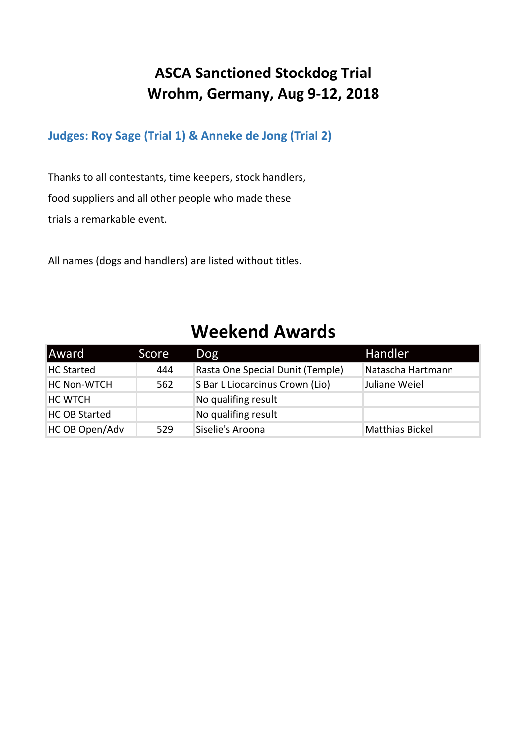# **ASCA Sanctioned Stockdog Trial Wrohm, Germany, Aug 9-12, 2018**

**Judges: Roy Sage (Trial 1) & Anneke de Jong (Trial 2)**

Thanks to all contestants, time keepers, stock handlers, food suppliers and all other people who made these trials a remarkable event.

All names (dogs and handlers) are listed without titles.

# **Weekend Awards**

| <b>Award</b>         | Score | Dog                              | Handler                |
|----------------------|-------|----------------------------------|------------------------|
| <b>HC Started</b>    | 444   | Rasta One Special Dunit (Temple) | Natascha Hartmann      |
| <b>HC Non-WTCH</b>   | 562   | S Bar L Liocarcinus Crown (Lio)  | Juliane Weiel          |
| <b>HC WTCH</b>       |       | No qualifing result              |                        |
| <b>HC OB Started</b> |       | No qualifing result              |                        |
| HC OB Open/Adv       | 529   | Siselie's Aroona                 | <b>Matthias Bickel</b> |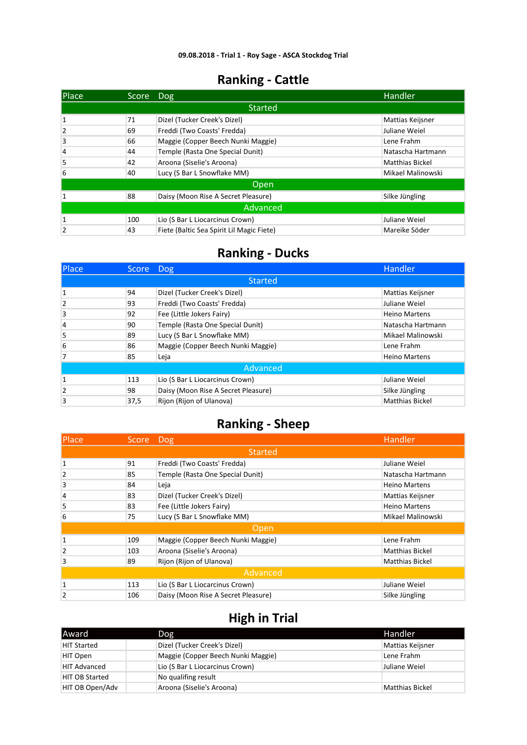| Place          | Score | Dog                                       | Handler                |
|----------------|-------|-------------------------------------------|------------------------|
|                |       | <b>Started</b>                            |                        |
| $\mathbf{1}$   | 71    | Dizel (Tucker Creek's Dizel)              | Mattias Keijsner       |
| 2              | 69    | Freddi (Two Coasts' Fredda)               | Juliane Weiel          |
| 3              | 66    | Maggie (Copper Beech Nunki Maggie)        | Lene Frahm             |
| 4              | 44    | Temple (Rasta One Special Dunit)          | Natascha Hartmann      |
| 5              | 42    | Aroona (Siselie's Aroona)                 | <b>Matthias Bickel</b> |
| 6              | 40    | Lucy (S Bar L Snowflake MM)               | Mikael Malinowski      |
|                |       | Open                                      |                        |
| 1              | 88    | Daisy (Moon Rise A Secret Pleasure)       | Silke Jüngling         |
| Advanced       |       |                                           |                        |
| 1              | 100   | Lio (S Bar L Liocarcinus Crown)           | Juliane Weiel          |
| $\overline{2}$ | 43    | Fiete (Baltic Sea Spirit Lil Magic Fiete) | Mareike Söder          |

### **Ranking - Ducks**

| Place          | Score Dog |                                     | Handler                |
|----------------|-----------|-------------------------------------|------------------------|
|                |           | <b>Started</b>                      |                        |
|                | 94        | Dizel (Tucker Creek's Dizel)        | Mattias Keijsner       |
| $\overline{2}$ | 93        | Freddi (Two Coasts' Fredda)         | Juliane Weiel          |
| 3              | 92        | Fee (Little Jokers Fairy)           | <b>Heino Martens</b>   |
| 4              | 90        | Temple (Rasta One Special Dunit)    | Natascha Hartmann      |
| 5              | 89        | Lucy (S Bar L Snowflake MM)         | Mikael Malinowski      |
| 6              | 86        | Maggie (Copper Beech Nunki Maggie)  | Lene Frahm             |
| 7              | 85        | Leja                                | <b>Heino Martens</b>   |
|                |           | Advanced                            |                        |
| $\mathbf{1}$   | 113       | Lio (S Bar L Liocarcinus Crown)     | Juliane Weiel          |
| $\overline{2}$ | 98        | Daisy (Moon Rise A Secret Pleasure) | Silke Jüngling         |
| 3              | 37,5      | Rijon (Rijon of Ulanova)            | <b>Matthias Bickel</b> |

#### **Ranking - Sheep**

| <b>Place</b>   | Score Dog |                                     | Handler                |  |
|----------------|-----------|-------------------------------------|------------------------|--|
|                |           | <b>Started</b>                      |                        |  |
| 1              | 91        | Freddi (Two Coasts' Fredda)         | Juliane Weiel          |  |
| $\overline{2}$ | 85        | Temple (Rasta One Special Dunit)    | Natascha Hartmann      |  |
| 3              | 84        | Leja                                | <b>Heino Martens</b>   |  |
| 4              | 83        | Dizel (Tucker Creek's Dizel)        | Mattias Keijsner       |  |
| 5              | 83        | Fee (Little Jokers Fairy)           | <b>Heino Martens</b>   |  |
| 6              | 75        | Lucy (S Bar L Snowflake MM)         | Mikael Malinowski      |  |
|                |           | Open                                |                        |  |
| 1              | 109       | Maggie (Copper Beech Nunki Maggie)  | Lene Frahm             |  |
| 2              | 103       | Aroona (Siselie's Aroona)           | <b>Matthias Bickel</b> |  |
| 3              | 89        | Rijon (Rijon of Ulanova)            | <b>Matthias Bickel</b> |  |
| Advanced       |           |                                     |                        |  |
| $\mathbf{1}$   | 113       | Lio (S Bar L Liocarcinus Crown)     | Juliane Weiel          |  |
| $\overline{2}$ | 106       | Daisy (Moon Rise A Secret Pleasure) | Silke Jüngling         |  |

| lAward                | Dog                                | Handler                |
|-----------------------|------------------------------------|------------------------|
| <b>HIT Started</b>    | Dizel (Tucker Creek's Dizel)       | Mattias Keijsner       |
| HIT Open              | Maggie (Copper Beech Nunki Maggie) | Lene Frahm             |
| <b>HIT Advanced</b>   | Lio (S Bar L Liocarcinus Crown)    | Juliane Weiel          |
| <b>HIT OB Started</b> | No qualifing result                |                        |
| HIT OB Open/Adv       | Aroona (Siselie's Aroona)          | <b>Matthias Bickel</b> |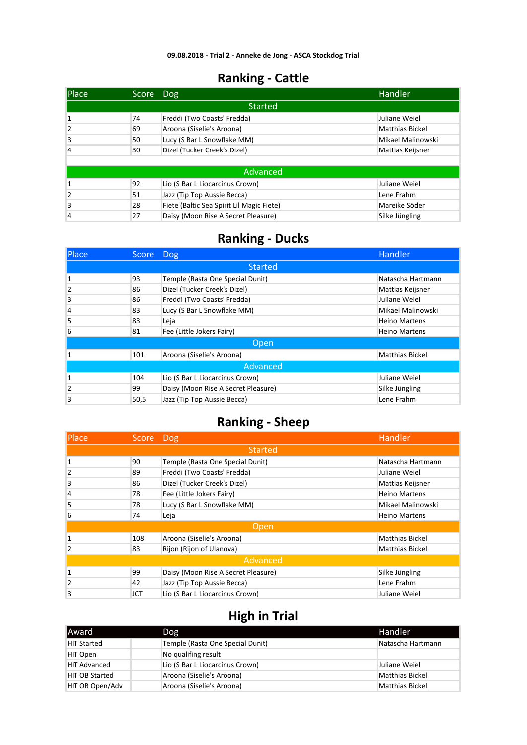| Place        | Score | Dog                                       | <b>Handler</b>         |
|--------------|-------|-------------------------------------------|------------------------|
|              |       | <b>Started</b>                            |                        |
| 1            | 74    | Freddi (Two Coasts' Fredda)               | Juliane Weiel          |
| 2            | 69    | Aroona (Siselie's Aroona)                 | <b>Matthias Bickel</b> |
| 3            | 50    | Lucy (S Bar L Snowflake MM)               | Mikael Malinowski      |
| 4            | 30    | Dizel (Tucker Creek's Dizel)              | Mattias Keijsner       |
|              |       |                                           |                        |
|              |       | <b>Advanced</b>                           |                        |
| $\mathbf{1}$ | 92    | Lio (S Bar L Liocarcinus Crown)           | Juliane Weiel          |
| 2            | 51    | Jazz (Tip Top Aussie Becca)               | Lene Frahm             |
| 3            | 28    | Fiete (Baltic Sea Spirit Lil Magic Fiete) | Mareike Söder          |
| 4            | 27    | Daisy (Moon Rise A Secret Pleasure)       | Silke Jüngling         |

#### **Ranking - Ducks**

| Place          | Score Dog |                                     | Handler                |  |
|----------------|-----------|-------------------------------------|------------------------|--|
|                |           | <b>Started</b>                      |                        |  |
| 1              | 93        | Temple (Rasta One Special Dunit)    | Natascha Hartmann      |  |
| $\overline{2}$ | 86        | Dizel (Tucker Creek's Dizel)        | Mattias Keijsner       |  |
| 3              | 86        | Freddi (Two Coasts' Fredda)         | Juliane Weiel          |  |
| $\overline{4}$ | 83        | Lucy (S Bar L Snowflake MM)         | Mikael Malinowski      |  |
| 5              | 83        | Leja                                | <b>Heino Martens</b>   |  |
| 6              | 81        | Fee (Little Jokers Fairy)           | <b>Heino Martens</b>   |  |
|                |           | Open,                               |                        |  |
|                | 101       | Aroona (Siselie's Aroona)           | <b>Matthias Bickel</b> |  |
| Advanced       |           |                                     |                        |  |
| 1              | 104       | Lio (S Bar L Liocarcinus Crown)     | Juliane Weiel          |  |
| $\overline{2}$ | 99        | Daisy (Moon Rise A Secret Pleasure) | Silke Jüngling         |  |
| 3              | 50,5      | Jazz (Tip Top Aussie Becca)         | Lene Frahm             |  |

#### **Ranking - Sheep**

| <b>Place</b>   | Score Dog |                                     | Handler                |  |  |
|----------------|-----------|-------------------------------------|------------------------|--|--|
|                |           | Started                             |                        |  |  |
| 1              | 90        | Temple (Rasta One Special Dunit)    | Natascha Hartmann      |  |  |
| $\overline{2}$ | 89        | Freddi (Two Coasts' Fredda)         | Juliane Weiel          |  |  |
| 3              | 86        | Dizel (Tucker Creek's Dizel)        | Mattias Keijsner       |  |  |
| 4              | 78        | Fee (Little Jokers Fairy)           | <b>Heino Martens</b>   |  |  |
| 5              | 78        | Lucy (S Bar L Snowflake MM)         | Mikael Malinowski      |  |  |
| 6              | 74        | Leja                                | <b>Heino Martens</b>   |  |  |
|                |           | 'Open,                              |                        |  |  |
| $\mathbf{1}$   | 108       | Aroona (Siselie's Aroona)           | <b>Matthias Bickel</b> |  |  |
| $\overline{2}$ | 83        | Rijon (Rijon of Ulanova)            | <b>Matthias Bickel</b> |  |  |
|                | Advanced  |                                     |                        |  |  |
| $\mathbf{1}$   | 99        | Daisy (Moon Rise A Secret Pleasure) | Silke Jüngling         |  |  |
| 2              | 42        | Jazz (Tip Top Aussie Becca)         | Lene Frahm             |  |  |
| 3              | JCT       | Lio (S Bar L Liocarcinus Crown)     | Juliane Weiel          |  |  |

| lAward                | Dog                              | Handler                |
|-----------------------|----------------------------------|------------------------|
| <b>HIT Started</b>    | Temple (Rasta One Special Dunit) | Natascha Hartmann      |
| HIT Open              | No qualifing result              |                        |
| <b>HIT Advanced</b>   | Lio (S Bar L Liocarcinus Crown)  | Juliane Weiel          |
| <b>HIT OB Started</b> | Aroona (Siselie's Aroona)        | Matthias Bickel        |
| HIT OB Open/Adv       | Aroona (Siselie's Aroona)        | <b>Matthias Bickel</b> |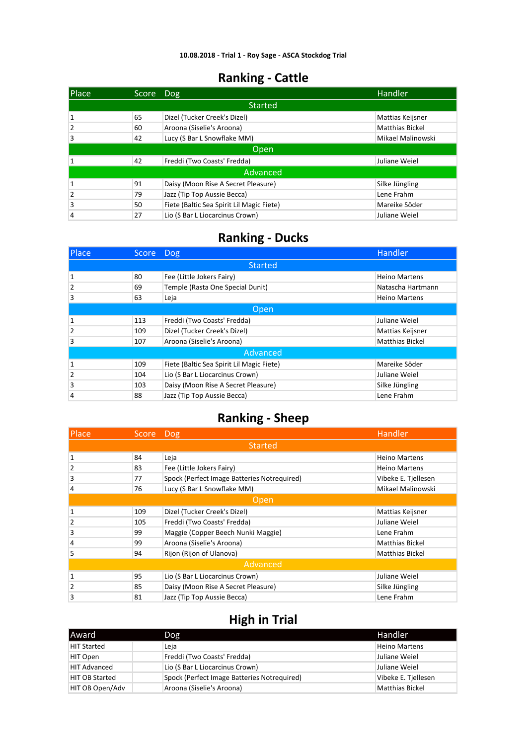| Place          | Score Dog |                                           | Handler                |
|----------------|-----------|-------------------------------------------|------------------------|
|                |           | <b>Started</b>                            |                        |
|                | 65        | Dizel (Tucker Creek's Dizel)              | Mattias Keijsner       |
| 2              | 60        | Aroona (Siselie's Aroona)                 | <b>Matthias Bickel</b> |
| 3              | 42        | Lucy (S Bar L Snowflake MM)               | Mikael Malinowski      |
|                |           | Open                                      |                        |
|                | 42        | Freddi (Two Coasts' Fredda)               | Juliane Weiel          |
|                |           | Advanced                                  |                        |
|                | 91        | Daisy (Moon Rise A Secret Pleasure)       | Silke Jüngling         |
| $\overline{2}$ | 79        | Jazz (Tip Top Aussie Becca)               | Lene Frahm             |
| 3              | 50        | Fiete (Baltic Sea Spirit Lil Magic Fiete) | Mareike Söder          |
| 4              | 27        | Lio (S Bar L Liocarcinus Crown)           | Juliane Weiel          |

#### **Ranking - Ducks**

| Place          | <b>Score</b> | $\overline{\phantom{a}}$ Dog              | Handler                |  |  |
|----------------|--------------|-------------------------------------------|------------------------|--|--|
|                |              | <b>Started</b>                            |                        |  |  |
| $\mathbf{1}$   | 80           | Fee (Little Jokers Fairy)                 | <b>Heino Martens</b>   |  |  |
| $\overline{2}$ | 69           | Temple (Rasta One Special Dunit)          | Natascha Hartmann      |  |  |
| 3              | 63           | Leja                                      | <b>Heino Martens</b>   |  |  |
|                | Open         |                                           |                        |  |  |
| 1              | 113          | Freddi (Two Coasts' Fredda)               | Juliane Weiel          |  |  |
| $\overline{2}$ | 109          | Dizel (Tucker Creek's Dizel)              | Mattias Keijsner       |  |  |
| 3              | 107          | Aroona (Siselie's Aroona)                 | <b>Matthias Bickel</b> |  |  |
|                |              | Advanced                                  |                        |  |  |
| $\mathbf{1}$   | 109          | Fiete (Baltic Sea Spirit Lil Magic Fiete) | Mareike Söder          |  |  |
| $\overline{2}$ | 104          | Lio (S Bar L Liocarcinus Crown)           | Juliane Weiel          |  |  |
| 3              | 103          | Daisy (Moon Rise A Secret Pleasure)       | Silke Jüngling         |  |  |
| $\overline{4}$ | 88           | Jazz (Tip Top Aussie Becca)               | Lene Frahm             |  |  |

#### **Ranking - Sheep**

| Place          | Score Dog |                                             | Handler                |  |
|----------------|-----------|---------------------------------------------|------------------------|--|
|                |           | Started                                     |                        |  |
| 1              | 84        | Leja                                        | <b>Heino Martens</b>   |  |
| $\overline{2}$ | 83        | Fee (Little Jokers Fairy)                   | <b>Heino Martens</b>   |  |
| 3              | 77        | Spock (Perfect Image Batteries Notrequired) | Vibeke E. Tjellesen    |  |
| $\overline{4}$ | 76        | Lucy (S Bar L Snowflake MM)                 | Mikael Malinowski      |  |
|                |           | Open,                                       |                        |  |
| 1              | 109       | Dizel (Tucker Creek's Dizel)                | Mattias Keijsner       |  |
| $\overline{2}$ | 105       | Freddi (Two Coasts' Fredda)                 | Juliane Weiel          |  |
| 3              | 99        | Maggie (Copper Beech Nunki Maggie)          | Lene Frahm             |  |
| $\overline{4}$ | 99        | Aroona (Siselie's Aroona)                   | Matthias Bickel        |  |
| 5              | 94        | Rijon (Rijon of Ulanova)                    | <b>Matthias Bickel</b> |  |
| Advanced       |           |                                             |                        |  |
| 1              | 95        | Lio (S Bar L Liocarcinus Crown)             | Juliane Weiel          |  |
| $\overline{2}$ | 85        | Daisy (Moon Rise A Secret Pleasure)         | Silke Jüngling         |  |
| 3              | 81        | Jazz (Tip Top Aussie Becca)                 | Lene Frahm             |  |

| Award                 | <b>Dog</b>                                  | Handler              |
|-----------------------|---------------------------------------------|----------------------|
| <b>HIT Started</b>    | Leja                                        | <b>Heino Martens</b> |
| HIT Open              | Freddi (Two Coasts' Fredda)                 | Juliane Weiel        |
| <b>HIT Advanced</b>   | Lio (S Bar L Liocarcinus Crown)             | Juliane Weiel        |
| <b>HIT OB Started</b> | Spock (Perfect Image Batteries Notreguired) | Vibeke E. Tjellesen  |
| HIT OB Open/Adv       | Aroona (Siselie's Aroona)                   | Matthias Bickel      |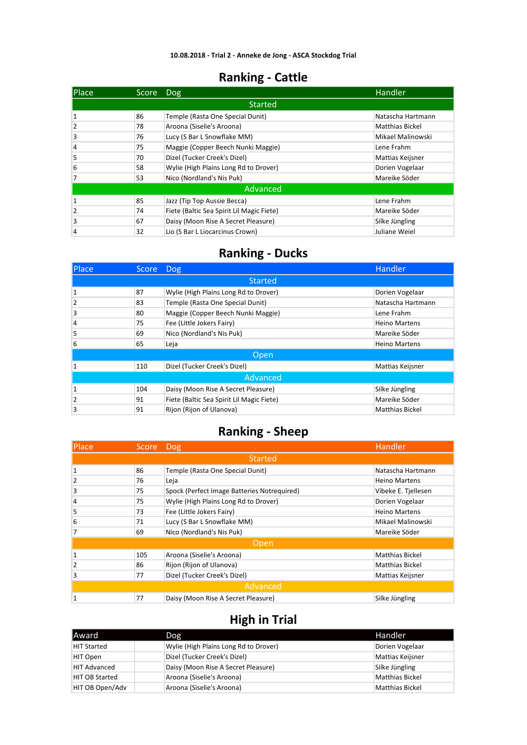| <b>IPlace</b> | Score | Dog                                       | Handler                |
|---------------|-------|-------------------------------------------|------------------------|
|               |       | <b>Started</b>                            |                        |
|               | 86    | Temple (Rasta One Special Dunit)          | Natascha Hartmann      |
| 2             | 78    | Aroona (Siselie's Aroona)                 | <b>Matthias Bickel</b> |
| 3             | 76    | Lucy (S Bar L Snowflake MM)               | Mikael Malinowski      |
| 4             | 75    | Maggie (Copper Beech Nunki Maggie)        | Lene Frahm             |
| 5             | 70    | Dizel (Tucker Creek's Dizel)              | Mattias Keijsner       |
| 6             | 58    | Wylie (High Plains Long Rd to Drover)     | Dorien Vogelaar        |
|               | 53    | Nico (Nordland's Nis Puk)                 | Mareike Söder          |
|               |       | Advanced                                  |                        |
| 1             | 85    | Jazz (Tip Top Aussie Becca)               | Lene Frahm             |
| 2             | 74    | Fiete (Baltic Sea Spirit Lil Magic Fiete) | Mareike Söder          |
| 3             | 67    | Daisy (Moon Rise A Secret Pleasure)       | Silke Jüngling         |
| 4             | 32    | Lio (S Bar L Liocarcinus Crown)           | Juliane Weiel          |

#### **Ranking - Ducks**

| Place          | Score Dog |                                           | Handler                |  |  |
|----------------|-----------|-------------------------------------------|------------------------|--|--|
|                |           | <b>Started</b>                            |                        |  |  |
|                | 87        | Wylie (High Plains Long Rd to Drover)     | Dorien Vogelaar        |  |  |
| $\overline{2}$ | 83        | Temple (Rasta One Special Dunit)          | Natascha Hartmann      |  |  |
| 3              | 80        | Maggie (Copper Beech Nunki Maggie)        | Lene Frahm             |  |  |
| 4              | 75        | Fee (Little Jokers Fairy)                 | <b>Heino Martens</b>   |  |  |
| 5              | 69        | Nico (Nordland's Nis Puk)                 | Mareike Söder          |  |  |
| 6              | 65        | Leja                                      | <b>Heino Martens</b>   |  |  |
|                |           | Open                                      |                        |  |  |
|                | 110       | Dizel (Tucker Creek's Dizel)              | Mattias Keijsner       |  |  |
|                | Advanced  |                                           |                        |  |  |
| 1              | 104       | Daisy (Moon Rise A Secret Pleasure)       | Silke Jüngling         |  |  |
| $\overline{2}$ | 91        | Fiete (Baltic Sea Spirit Lil Magic Fiete) | Mareike Söder          |  |  |
| 3              | 91        | Rijon (Rijon of Ulanova)                  | <b>Matthias Bickel</b> |  |  |

#### **Ranking - Sheep**

| <b>IPlace</b> | Score Dog |                                             | Handler                |
|---------------|-----------|---------------------------------------------|------------------------|
|               |           | <b>Started</b>                              |                        |
| 1             | 86        | Temple (Rasta One Special Dunit)            | Natascha Hartmann      |
| 2             | 76        | Leja                                        | <b>Heino Martens</b>   |
| 3             | 75        | Spock (Perfect Image Batteries Notreguired) | Vibeke E. Tjellesen    |
| 4             | 75        | Wylie (High Plains Long Rd to Drover)       | Dorien Vogelaar        |
| 5             | 73        | Fee (Little Jokers Fairy)                   | <b>Heino Martens</b>   |
| 6             | 71        | Lucy (S Bar L Snowflake MM)                 | Mikael Malinowski      |
| 7             | 69        | Nico (Nordland's Nis Puk)                   | Mareike Söder          |
|               |           | Open                                        |                        |
| 1             | 105       | Aroona (Siselie's Aroona)                   | <b>Matthias Bickel</b> |
| 2             | 86        | Rijon (Rijon of Ulanova)                    | <b>Matthias Bickel</b> |
| 3             | 77        | Dizel (Tucker Creek's Dizel)                | Mattias Keijsner       |
| Advanced      |           |                                             |                        |
| $\mathbf{1}$  | 77        | Daisy (Moon Rise A Secret Pleasure)         | Silke Jüngling         |

| lAward                | Dog                                   | Handler                 |
|-----------------------|---------------------------------------|-------------------------|
| <b>HIT Started</b>    | Wylie (High Plains Long Rd to Drover) | Dorien Vogelaar         |
| HIT Open              | Dizel (Tucker Creek's Dizel)          | <b>Mattias Keijsner</b> |
| <b>HIT Advanced</b>   | Daisy (Moon Rise A Secret Pleasure)   | Silke Jüngling          |
| <b>HIT OB Started</b> | Aroona (Siselie's Aroona)             | <b>Matthias Bickel</b>  |
| HIT OB Open/Adv       | Aroona (Siselie's Aroona)             | <b>Matthias Bickel</b>  |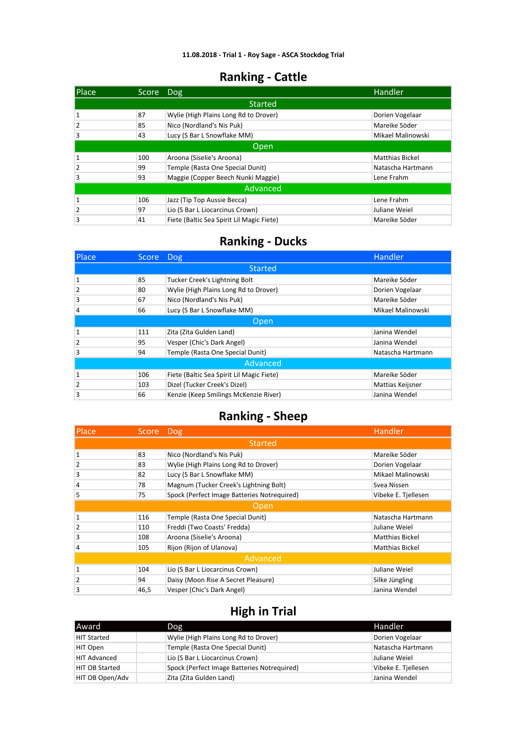| <b>Place</b>   | Score Dog |                                           | <b>Handler</b>         |  |
|----------------|-----------|-------------------------------------------|------------------------|--|
|                |           | <b>Started</b>                            |                        |  |
| 1              | 87        | Wylie (High Plains Long Rd to Drover)     | Dorien Vogelaar        |  |
| 2              | 85        | Nico (Nordland's Nis Puk)                 | Mareike Söder          |  |
| 3              | 43        | Lucy (S Bar L Snowflake MM)               | Mikael Malinowski      |  |
|                | Open,     |                                           |                        |  |
| 1              | 100       | Aroona (Siselie's Aroona)                 | <b>Matthias Bickel</b> |  |
| $\overline{2}$ | 99        | Temple (Rasta One Special Dunit)          | Natascha Hartmann      |  |
| 3              | 93        | Maggie (Copper Beech Nunki Maggie)        | Lene Frahm             |  |
| Advanced       |           |                                           |                        |  |
| 1              | 106       | Jazz (Tip Top Aussie Becca)               | Lene Frahm             |  |
| 2              | 97        | Lio (S Bar L Liocarcinus Crown)           | Juliane Weiel          |  |
| 3              | 41        | Fiete (Baltic Sea Spirit Lil Magic Fiete) | Mareike Söder          |  |

#### **Ranking - Ducks**

| <b>Place</b>   | Score Dog |                                           | Handler           |
|----------------|-----------|-------------------------------------------|-------------------|
|                |           | <b>Started</b>                            |                   |
| 1              | 85        | Tucker Creek's Lightning Bolt             | Mareike Söder     |
| $\overline{2}$ | 80        | Wylie (High Plains Long Rd to Drover)     | Dorien Vogelaar   |
| 3              | 67        | Nico (Nordland's Nis Puk)                 | Mareike Söder     |
| 4              | 66        | Lucy (S Bar L Snowflake MM)               | Mikael Malinowski |
|                |           | Open                                      |                   |
| 1              | 111       | Zita (Zita Gulden Land)                   | Janina Wendel     |
| $\overline{2}$ | 95        | Vesper (Chic's Dark Angel)                | Janina Wendel     |
| 3              | 94        | Temple (Rasta One Special Dunit)          | Natascha Hartmann |
| Advanced       |           |                                           |                   |
| 1              | 106       | Fiete (Baltic Sea Spirit Lil Magic Fiete) | Mareike Söder     |
| $\overline{2}$ | 103       | Dizel (Tucker Creek's Dizel)              | Mattias Keijsner  |
| 3              | 66        | Kenzie (Keep Smilings McKenzie River)     | Janina Wendel     |

### **Ranking - Sheep**

| Place          | Score Dog |                                             | Handler                |  |
|----------------|-----------|---------------------------------------------|------------------------|--|
|                |           | <b>Started</b>                              |                        |  |
| 1              | 83        | Nico (Nordland's Nis Puk)                   | Mareike Söder          |  |
| $\overline{2}$ | 83        | Wylie (High Plains Long Rd to Drover)       | Dorien Vogelaar        |  |
| 3              | 82        | Lucy (S Bar L Snowflake MM)                 | Mikael Malinowski      |  |
| 4              | 78        | Magnum (Tucker Creek's Lightning Bolt)      | Svea Nissen            |  |
| 5              | 75        | Spock (Perfect Image Batteries Notrequired) | Vibeke E. Tjellesen    |  |
|                |           | Open                                        |                        |  |
| 1              | 116       | Temple (Rasta One Special Dunit)            | Natascha Hartmann      |  |
| $\overline{2}$ | 110       | Freddi (Two Coasts' Fredda)                 | Juliane Weiel          |  |
| 3              | 108       | Aroona (Siselie's Aroona)                   | <b>Matthias Bickel</b> |  |
| 4              | 105       | Rijon (Rijon of Ulanova)                    | <b>Matthias Bickel</b> |  |
| Advanced       |           |                                             |                        |  |
| 1              | 104       | Lio (S Bar L Liocarcinus Crown)             | Juliane Weiel          |  |
| $\overline{2}$ | 94        | Daisy (Moon Rise A Secret Pleasure)         | Silke Jüngling         |  |
| 3              | 46,5      | Vesper (Chic's Dark Angel)                  | Janina Wendel          |  |

| <b>Award</b>          | Dog                                         | Handler             |
|-----------------------|---------------------------------------------|---------------------|
| <b>HIT Started</b>    | Wylie (High Plains Long Rd to Drover)       | Dorien Vogelaar     |
| HIT Open              | Temple (Rasta One Special Dunit)            | Natascha Hartmann   |
| <b>HIT Advanced</b>   | Lio (S Bar L Liocarcinus Crown)             | Juliane Weiel       |
| <b>HIT OB Started</b> | Spock (Perfect Image Batteries Notreguired) | Vibeke E. Tjellesen |
| HIT OB Open/Adv       | Zita (Zita Gulden Land)                     | Janina Wendel       |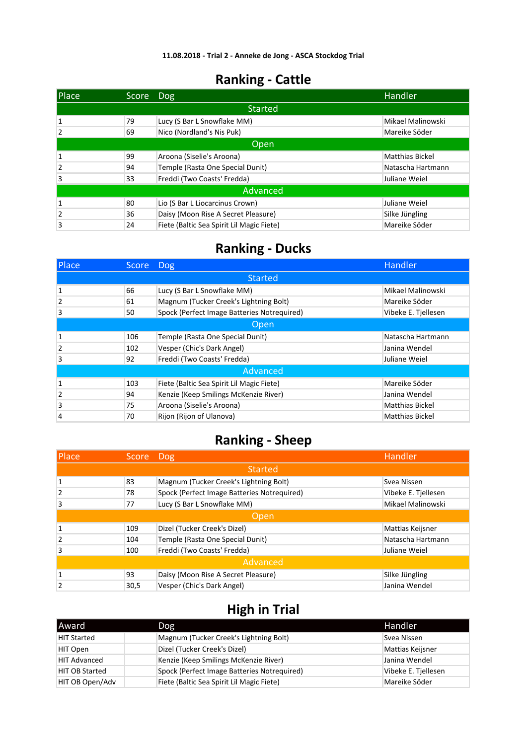| Place          | Score    | Dog                                       | Handler                |  |  |
|----------------|----------|-------------------------------------------|------------------------|--|--|
|                |          | <b>Started</b>                            |                        |  |  |
|                | 79       | Lucy (S Bar L Snowflake MM)               | Mikael Malinowski      |  |  |
| $\overline{2}$ | 69       | Nico (Nordland's Nis Puk)                 | Mareike Söder          |  |  |
|                | Open     |                                           |                        |  |  |
| 1              | 99       | Aroona (Siselie's Aroona)                 | <b>Matthias Bickel</b> |  |  |
| $\overline{2}$ | 94       | Temple (Rasta One Special Dunit)          | Natascha Hartmann      |  |  |
| 3              | 33       | Freddi (Two Coasts' Fredda)               | Juliane Weiel          |  |  |
|                | Advanced |                                           |                        |  |  |
| $\mathbf{1}$   | 80       | Lio (S Bar L Liocarcinus Crown)           | Juliane Weiel          |  |  |
| $\overline{2}$ | 36       | Daisy (Moon Rise A Secret Pleasure)       | Silke Jüngling         |  |  |
| 3              | 24       | Fiete (Baltic Sea Spirit Lil Magic Fiete) | Mareike Söder          |  |  |

### **Ranking - Ducks**

| Place          | Score | Dog                                         | <b>Handler</b>         |  |  |
|----------------|-------|---------------------------------------------|------------------------|--|--|
|                |       | <b>Started</b>                              |                        |  |  |
| 1              | 66    | Lucy (S Bar L Snowflake MM)                 | Mikael Malinowski      |  |  |
| $\overline{2}$ | 61    | Magnum (Tucker Creek's Lightning Bolt)      | Mareike Söder          |  |  |
| 3              | 50    | Spock (Perfect Image Batteries Notreguired) | Vibeke E. Tjellesen    |  |  |
|                | Open  |                                             |                        |  |  |
| 1              | 106   | Temple (Rasta One Special Dunit)            | Natascha Hartmann      |  |  |
| 2              | 102   | Vesper (Chic's Dark Angel)                  | Janina Wendel          |  |  |
| 3              | 92    | Freddi (Two Coasts' Fredda)                 | Juliane Weiel          |  |  |
|                |       | Advanced                                    |                        |  |  |
| 1              | 103   | Fiete (Baltic Sea Spirit Lil Magic Fiete)   | Mareike Söder          |  |  |
| $\overline{2}$ | 94    | Kenzie (Keep Smilings McKenzie River)       | Janina Wendel          |  |  |
| 3              | 75    | Aroona (Siselie's Aroona)                   | <b>Matthias Bickel</b> |  |  |
| 4              | 70    | Rijon (Rijon of Ulanova)                    | <b>Matthias Bickel</b> |  |  |

### **Ranking - Sheep**

| <b>Place</b>   | Score Dog |                                             | Handler             |  |
|----------------|-----------|---------------------------------------------|---------------------|--|
|                |           | <b>Started</b>                              |                     |  |
| $\mathbf{1}$   | 83        | Magnum (Tucker Creek's Lightning Bolt)      | Svea Nissen         |  |
| $\overline{2}$ | 78        | Spock (Perfect Image Batteries Notrequired) | Vibeke E. Tjellesen |  |
| 3              | 77        | Lucy (S Bar L Snowflake MM)                 | Mikael Malinowski   |  |
|                | Open      |                                             |                     |  |
| $\mathbf{1}$   | 109       | Dizel (Tucker Creek's Dizel)                | Mattias Keijsner    |  |
| $\overline{2}$ | 104       | Temple (Rasta One Special Dunit)            | Natascha Hartmann   |  |
| 3              | 100       | Freddi (Two Coasts' Fredda)                 | Juliane Weiel       |  |
| Advanced       |           |                                             |                     |  |
| $\mathbf{1}$   | 93        | Daisy (Moon Rise A Secret Pleasure)         | Silke Jüngling      |  |
| $\overline{2}$ | 30,5      | Vesper (Chic's Dark Angel)                  | Janina Wendel       |  |

| lAward                | Dog                                         | Handler             |
|-----------------------|---------------------------------------------|---------------------|
| <b>HIT Started</b>    | Magnum (Tucker Creek's Lightning Bolt)      | Svea Nissen         |
| HIT Open              | Dizel (Tucker Creek's Dizel)                | Mattias Keijsner    |
| <b>HIT Advanced</b>   | Kenzie (Keep Smilings McKenzie River)       | Janina Wendel       |
| <b>HIT OB Started</b> | Spock (Perfect Image Batteries Notrequired) | Vibeke E. Tjellesen |
| HIT OB Open/Adv       | Fiete (Baltic Sea Spirit Lil Magic Fiete)   | Mareike Söder       |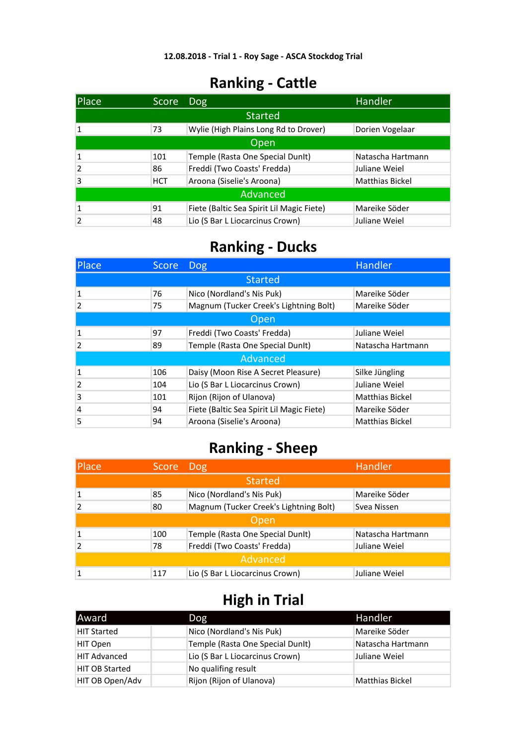| Place           | Score      | <b>Dog</b>                                | Handler                |
|-----------------|------------|-------------------------------------------|------------------------|
|                 |            | <b>Started</b>                            |                        |
|                 | 73         | Wylie (High Plains Long Rd to Drover)     | Dorien Vogelaar        |
| Open            |            |                                           |                        |
|                 | 101        | Temple (Rasta One Special DunIt)          | Natascha Hartmann      |
| $\overline{2}$  | 86         | Freddi (Two Coasts' Fredda)               | Juliane Weiel          |
| 3               | <b>HCT</b> | Aroona (Siselie's Aroona)                 | <b>Matthias Bickel</b> |
| <b>Advanced</b> |            |                                           |                        |
|                 | 91         | Fiete (Baltic Sea Spirit Lil Magic Fiete) | Mareike Söder          |
|                 | 48         | Lio (S Bar L Liocarcinus Crown)           | Juliane Weiel          |

# **Ranking - Ducks**

| <b>Place</b>   | <b>Score</b> | <b>Dog</b>                                | Handler                |
|----------------|--------------|-------------------------------------------|------------------------|
|                |              | <b>Started</b>                            |                        |
| 1              | 76           | Nico (Nordland's Nis Puk)                 | Mareike Söder          |
| 2              | 75           | Magnum (Tucker Creek's Lightning Bolt)    | Mareike Söder          |
| Open           |              |                                           |                        |
| 1              | 97           | Freddi (Two Coasts' Fredda)               | Juliane Weiel          |
| $\overline{2}$ | 89           | Temple (Rasta One Special DunIt)          | Natascha Hartmann      |
|                |              | Advanced                                  |                        |
| 1              | 106          | Daisy (Moon Rise A Secret Pleasure)       | Silke Jüngling         |
| $\overline{2}$ | 104          | Lio (S Bar L Liocarcinus Crown)           | Juliane Weiel          |
| 3              | 101          | Rijon (Rijon of Ulanova)                  | <b>Matthias Bickel</b> |
| $\overline{4}$ | 94           | Fiete (Baltic Sea Spirit Lil Magic Fiete) | Mareike Söder          |
| 5              | 94           | Aroona (Siselie's Aroona)                 | <b>Matthias Bickel</b> |

### **Ranking - Sheep**

| Place    | Score | <b>Dog</b>                             | <b>Handler</b>    |
|----------|-------|----------------------------------------|-------------------|
|          |       | <b>Started</b>                         |                   |
|          | 85    | Nico (Nordland's Nis Puk)              | Mareike Söder     |
|          | 80    | Magnum (Tucker Creek's Lightning Bolt) | Svea Nissen       |
| Open     |       |                                        |                   |
|          | 100   | Temple (Rasta One Special DunIt)       | Natascha Hartmann |
|          | 78    | Freddi (Two Coasts' Fredda)            | Juliane Weiel     |
| Advanced |       |                                        |                   |
|          | 117   | Lio (S Bar L Liocarcinus Crown)        | Juliane Weiel     |

| lAward                | Dog                              | Handler                |
|-----------------------|----------------------------------|------------------------|
| <b>HIT Started</b>    | Nico (Nordland's Nis Puk)        | Mareike Söder          |
| HIT Open              | Temple (Rasta One Special DunIt) | Natascha Hartmann      |
| <b>HIT Advanced</b>   | Lio (S Bar L Liocarcinus Crown)  | Juliane Weiel          |
| <b>HIT OB Started</b> | No qualifing result              |                        |
| HIT OB Open/Adv       | Rijon (Rijon of Ulanova)         | <b>Matthias Bickel</b> |